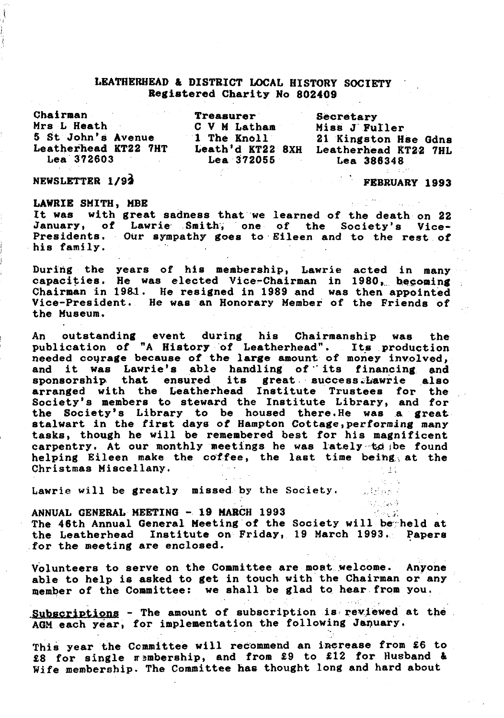### **LEATHERHEAD & DISTRICT LOCAL HISTORY SOCIETY Registered Charity No 802409**

| Chairman             | <b>Treasurer</b> | Secretary            |
|----------------------|------------------|----------------------|
| Mrs L Heath          | C V M Latham     | Miss J Fuller        |
| 5 St John's Avenue   | 1 The Knoll      | 21 Kingston Hse Gdns |
| Leatherhead KT22 7HT | Leath'd KT22 8XH | Leatherhead KT22 7HL |
| Lea 372603           | Lea 372055       | <b>Lea 386348</b>    |

### **NEWSLETTER 1/92**

**FEBRUARY 1993**

salding P وليون

**LAWRIE SMITH, MBE It was with great sadness that we learned of the death on 22 January, of Lawrie Smith, one of the Society's Vice-Presidents, Our sympathy goes to Eileen and to the rest of his family.**

**During the years of his membership, Lawrie acted in many capacities. He was elected Vice-Chairman in 1980, besoming Chairman in 198.1. He resigned in 1989 and was then appointed Vice-President. He was an Honorary Member of the Friends of the Museum.**

**An outstanding event during his Chairmanship was the publication of "A History of Leatherhead''. Its production needed courage because of the large amount of money involved, and it was Lawrie's able handling of " its financing and** sponsorship that ensured its great success. Lawrie also **arranged with the Leatherhead Institute Trustees for the Society's members to steward the Institute Library, and for the Society's Library to be housed there.He was a great stalwart in the first days of Hampton Cottage,performing many tasks, though he will be remembered best for his magnificent carpentry. At our monthly meetings he was lately to ;be found helping Eileen make the coffee, the last time being, at the Christmas Miscellany.**

Lawrie will be greatly missed by the Society.

ANNUAL GENERAL MEETING - 19 MARCH 1993 **The 46th Annual General Meeting of the Society will be held at the Leatherhead Institute on Friday, 19 March 1993. Papers for the meeting are enclosed.**

**Volunteers to serve on the Committee are moat welcome. Anyone able to help is asked to get in touch with the Chairman or any member of the Committee: we shall be glad to hear from you.**

**Subscriptions - The amount of subscription is reviewed at the AGM each year, for implementation the following January.**

**This year the Committee will recommend an increase from £6 to £8 for single irsmbership, and from £9 to £12 for Husband & Wife membership. The Committee has thought long and hard about**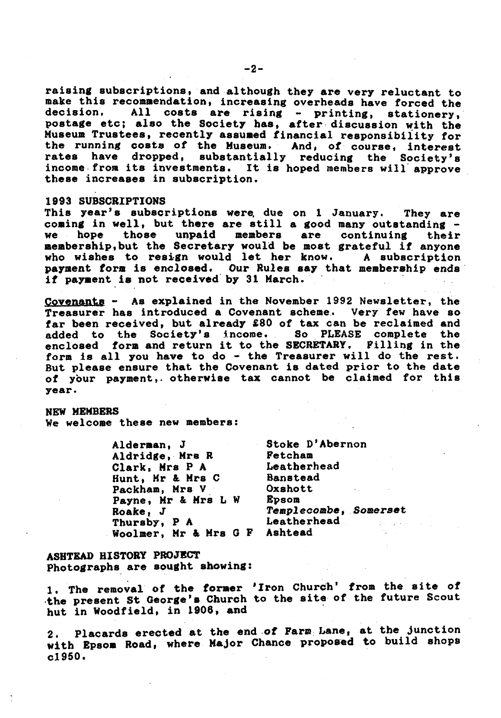**raising subscriptions, and although they are very reluctant to make this recommendation, increasing overheads have forced the decision. All costs are rising - printing, stationery, postage etc; also the Society has, after discussion with the Museum Trustees, recently assumed financial responsibility for the running costs of the Museum. And, of course, interest rates have dropped, substantially reducing the Society's income from its investments. It is hoped members will approve these increases in subscription.**

#### **1993 SUBSCRIPTIONS**

**This year's subscriptions were, due on 1 January. They are coming in well, but there are still a good many outstanding**  members are continuing their **membership,but the Secretary would be most grateful if anyone who wishes to resign would let her know. A subscription payment form is enclosed. Our Rules say that membership ends if payment is not received by 31 March.**

**flovenanta - As explained in the November 1992 Newsletter, the Treasurer has introduced a Covenant scheme. Very few have so far been received, but already £80 of tax can be reclaimed and added to the Society's income. So PLEASE complete the enclosed form and return it to the SECRETARY. Filling in the form is all you have to do - the Treasurer will do the rest. But please ensure that the Covenant is dated prior to the date of your payment,, otherwise tax cannot be claimed for this year.**

#### **NEW MEMBERS**

**We welcome these new members:**

**Alderman, J Aldridge, Mrs R Clark, Mrs P A Hunt, Mr t Mrs C Packham, Mrs V Payne, Mr & Mrs L W Roake, J Thursby, P A Woolmer, Mr & Mrs G F Ashtead**

**Stoke D 'Abernon Fetcham Leatherhead Banstead Oxshott** Epsom *Templecoabe, Somerset* **Leatherhead**

**ASHTEAD HISTORY PROJECT Photographs are sought showing:**

**1. The removal of the former 'Iron Church' from the site of the present St George**'b **Church to the site of the future Scout hut in Woodfield, in 1906, and**

**2. Placards erected at the end of Fars>: Lane, at the junction with Epsom Road, where Major Chance proposed to build shops cl950.**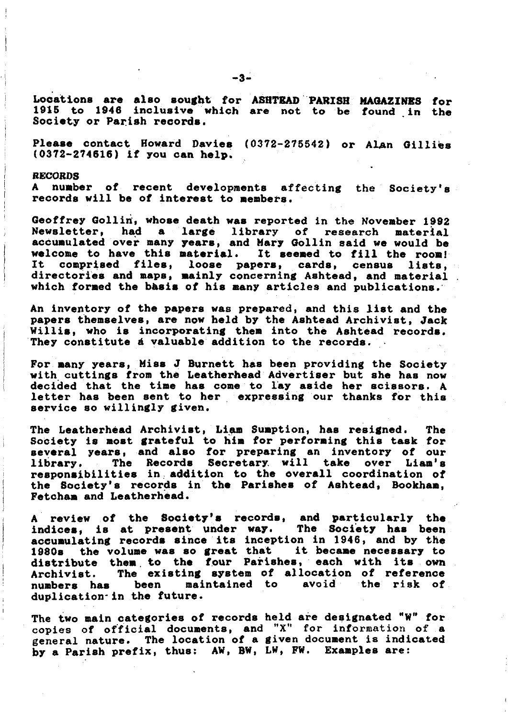**Locations are also sought for ASHTEAD PARISH MAGAZINES for 1915 to 1946 inclusive which are not to be found in the Society or Parish records.**

Please contact Howard Davies (0372-275542) or Alan Gillies **(0372-274616) if you can help.**

# **RECORDS**

**A number of recent developments** affecting the **Society's records will be of interest to members.**

Geoffrey Gollin, whose death was reported in the November 1992<br>Newsletter, had a large library of research material **A** large library of **accumulated over many years, and Mary Gollin said we would be welcome to have this material. It seemed to fill the room!** comprised files, loose papers, **directories and maps, mainly concerning Ashtead, and material which formed the basis of his many articles and publications.**

**An inventory of the papers was prepared, and this list and the papers themselves, are now held by the Ashtead Archivist, Jack Willis, who is incorporating them into the Ashtead records.** They constitute *A* valuable addition to the records.

**For many years, Miss J Burnett has been providing the Society with cuttings from the Leatherhead Advertiser but she has now decided that the time has come to lay aside her scissors. A letter has been sent to her expressing our thanks for this service so willingly given.**

**The Leatherhead Archivist, Liam Sumption, has resigned. The Society is most grateful to him for performing this task for several years, and also for preparing an inventory of our** The Records Secretary will take over Liam's **responsibilities in addition to the overall coordination of the Society's records in the Parishes of Ashtead, Bookham, Fetcham and Leatherhead.**

**A review of the Society's records, and particularly the** indices, is at present under way. **accumulating records since its inception in 1946, and by the** the volume was so great that **distribute them, to the four Parishes, each with its own Archivist. The existing system of allocation of reference** numbers has **duplication-in the future.**

**The two main categories of records held are designated MW" for** copies of official **documents, and** "X" for information of a general **nature. The location of a given document is indicated by a Parish prefix, thus: AW, BW, LW, FW. Examples are:**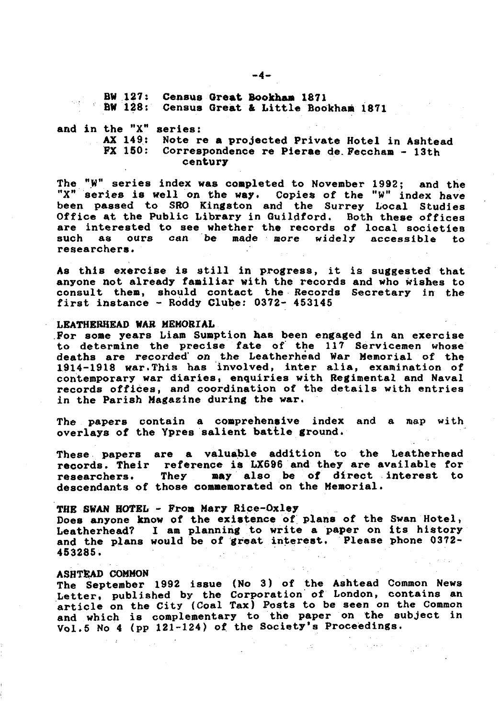**BW 127: Census Great Bookham 1871 BW 128: Census Great & Little Bookham 1871**

**and in the "X" series: AX 149: Note re a projected Private Hotel in Ashtead FX 150: Correspondence re Pierae de. Feccham - 13th century**

**The "W" series index was completed to November 1992; and the "X" series is well on the way. Copies of the "W" index have been passed to SRO Kingston and the Surrey Local Studies Office at the Public Library in Guildford. Both these offices are interested to see whether the records of local societies such as ours can be made more widely accessible to researchers.**

**As this exercise is still in progress, it is suggested that anyone not already familiar with the records and who wishes to consult them, should contact the Records Secretary in the first instance - Roddy Clube: 0372- 453145**

#### **LEATHERHEAD WAR MEMORIAL**

**For some years Liam Sumption has been engaged in an exercise to determine the precise fate of the 117 Servicemen whose deaths are recorded' on the Leatherhead War Memorial of the 1914-1918 war.This has involved, inter alia, examination of contemporary war diaries, enquiries with Regimental and Naval records offices, and coordination of the details with entries in the Parish Magazine during the war.**

**The papers contain a comprehensive index and a map with overlays of the Ypres salient battle ground.**

**These papers are a valuable addition to the Leatherhead records. Their reference is LX696 and they are available for researchers. They may also be of direct interest to descendants of those commemorated on the Memorial.**

#### **THE SWAN HOTEL - From Mary Rice-Qxley**

**Does anyone know of the existence of plans of the Swan Hotel, Leatherhead? I am planning to write a paper on its history and the plans would be of great interest. Please phone 0372- 453285.**

### **ASHT&AD COMMON**

**The September 1992 issue (No 3) of the Ashtead Common News Letter, published by the Corporation of London, contains an article on the City (Coal Tax) Posts to be seen on the Common and which is complementary to the paper on the subject in Vol.5 No 4 (pp 121-124) of the Society's Proceedings.**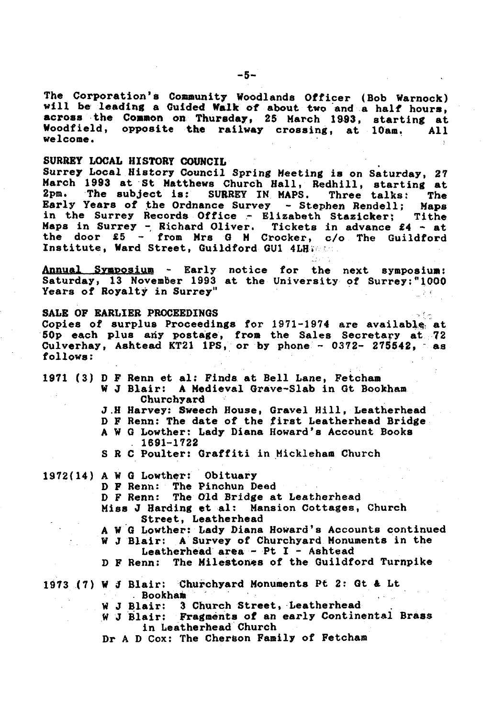**The Corporation's Community Woodlands Officer (Bob Warnock) will be leading a Guided Walk of about two and a half hours, across the Common on Thursday, 25 March 1993, starting at Woodfield, opposite the railway crossing, at 10am. All welcome.**

### **SURREY LOCAL HISTORY COUNCIL**

**Surrey Local History Council Spring Meeting is on Saturday, 27 March 1993 at St Matthews Church Hall, Redhill, starting at 2pm. The subject is: SURREY IN MAPS. Three talks: The Early Years of the Ordnance Survey - Stephen Rendell; Maps in the Surrey Records Office - Elizabeth Stazicker; Tithe Maps in Surrey - Richard Oliver. Tickets in advance £4 - at the door £5 - from Mrs 6 M Crocker, c/o The Guildford Institute, Ward Street, Guildford GUI 4LH■**

**Annual Symposium - Early notice for the next symposium: Saturday, 13 NovemBer 1993 at the University of Surrey:"1000 Years of Royalty in Surrey"**

### **SALE OF EARLIER PROCEEDINGS**

**Copies of surplus Proceedings for 1971-1974 are availably at 50p each plus aiiy postage, from the Sales Secretary at 72 Culverhay, Ashtead KT21 IPS, or by phone - 0372- 275542, as follows:**

### **1971 (3) D F Renn et al: Finds at Bell Lane, Fetcham**

- **W J Blair: A Medieval Grave-Slab in Gt Bookhara Churchyard**
- **J.H Harvey: Sweech House, Gravel Hill, Leatherhead**
- **D F Renn: The date of the first Leatherhead Bridge A W G Lowther: Lady Diana Howard's Account Books**
- **1691-1722**
- **S R C Poulter: Graffiti in Mickleham Church**

**1972(14) A W G Lowther: Obituary**

**D F Renn: The Pinchun Deed**

**D F Renn: The Old Bridge at Leatherhead**

**Miss J Harding et al: Mansion Cottages, Church Street, Leatherhead**

- **A W G Lowther: Lady Diana Howard's Accounts continued**
- **W J Blair; A Survey of Churchyard Monuments in the Leatherhead area - Pt I - Ashtead**
- **D F Renn: The Milestones of the Guildford Turnpike**

## **1973 (7) W J Blair: Churchyard Monuments Pt 2: Gt A Lt**

**. Bookham '**

- **W J Blair: 3 Church Street, Leatherhead**
- **W J Blair: Fragments of an early Continental Brass in Leatherhead Church**

Dr A D Cox: The Cherson Family of Fetcham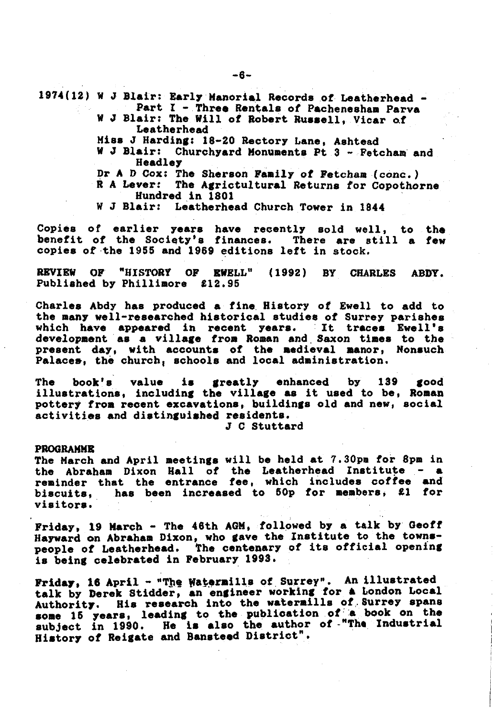**1974(12) W J Blair: Early Manorial Records of Leatherhead - Part I - Three Rentals of Pachenesham Parva**

- **W J Blair: The Will of Robert Russell, Vicar of Leatherhead**
- **Miss J Harding: 18-20 Rectory Lane, Ashtead**
- **W J Blair: Churchyard Monuments Pt 3 Fetcham and Headley**
- **Dr A D Cox: The Sherson Family of Fetcham (conc.)**
- **R A Lever: The Agrictultural Returns for Copothorne Hundred in 1801**
- **W J Blair: Leatherhead Church Tower in 1844**

**Copies of earlier years have recently sold well, to the benefit of the Society's finances. There are still a few copies of the 1955 and 1969 editions left in stock.**

**REVIEW OF "HISTORY OF EWELL" (1992) BY CHARLES ABDY. Published by Phillimore £12.95**

**Charles Abdy has produced a fine History of Ewell to add to the many well-researched historical studies of Surrey parishes** which have appeared in recent years. development as a village from Roman and Saxon times to the **present day, with accounts of the medieval manor, Nonsuch** Palaces, the church<sub>!</sub> schools and local administration.

**The book's value is greatly enhanced by 139 good illustrations, including the village as it used to be, Roman pottery from recent excavations, buildings old and new, social activities and distinguished residents.**

*j c* **Stuttard**

#### **PROGRAMME**

**The March and April meetings will be held at 7.30pm for 8pm in the Abraham Dixon Hall of the Leatherhead Institute - a reminder that the entrance fee, which includes coffee and biscuits, has been increased to 50p for members, \*1 for visitors.**

**Friday, 19 March - The 46th AGM, followed by a talk by Geoff Hayward on Abraham Dixon, who gave the Institute to the townspeople of Leatherhead. The centenary of its official opening is being celebrated in February 1993.**

Friday, 16 April - "The Watermills of Surrey". An illustrated talk by Derek Stidder, an engineer working for a London Local **Authority. His research into the watermills of Surrey spans some 15 years, leading to the publication of a book on the subject in 1990. He is also the author of "The Industrial History of Reigate and Bansteed District".**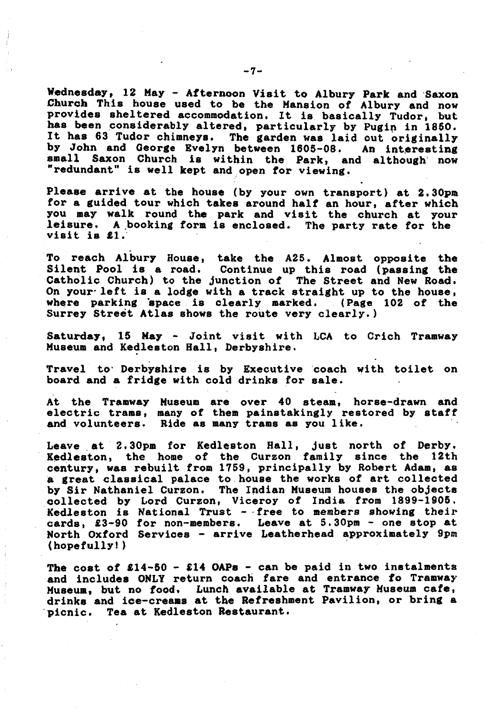**Wednesday, 12 May - Afternoon Visit to Albury Park and Saxon Church This house used to be the Mansion of Albury and now provides sheltered accommodation. It is basically Tudor, but has been considerably altered, particularly by Pugin in 1860. It has 63 Tudor chimneys. The garden was laid out originally** by John and George Evelyn between 1605-08. small Saxon Church is within the Park, and although now **"redundant" is well kept and open for viewing.**

**Please arrive at the house (by your own transport) at 2.30pm for a guided tour which takes around half an hour, after which you may walk round the park and visit the church at your leisure. A booking form is enclosed. The party rate for the visit is £1.**

**To reach Albury House, take the A25. Almost opposite the Silent Pool is a road. Continue up this road (passing the Catholic Church) to the junction of The Street and New Road. On your\*left is a lodge with a track straight up to the house, where parking 'space is clearly marked. (Page 102 of the Surrey Street Atlas shows the route very clearly.)**

**Saturday, 15 May - Joint visit with LCA to Crich Tramway Museum and Kedleston Hall, Derbyshire.**

**Travel to1 Derbyshire is by Executive coach with toilet on board and a fridge with cold drinks for sale.**

**At the Tramway Museum are over 40 steam, horse-drawn and electric trams, many of them painstakingly restored by staff and volunteers. Ride as many trams as you like.**

**Leave at 2.30pm for Kedleston Hall, just north of Derby. Kedleston, the home of the Curzon family since the 12th century, was rebuilt from 1759, principally by Robert Adam, as a great classical palace to house the works of art collected by Sir Nathaniel Curzon. The Indian Museum houses the objects collected by Lord Curzon, Viceroy of India from 1899-1905. Kedleston is National Trust - free to members showing their cards, £3-90 for non-members. Leave at 5.30pm - one stop at North Oxford Services - arrive Leatherhead approximately 9pm (hopefully! )**

**The cost of £14-50 - £14 OAPs - can be paid in two instalments and includes ONLY return coach fare and entrance fo Tramway Museum, but no food. Lunch available at Tramway Museum cafe, drinks and ice-creams at the Refreshment Pavilion, or bring a picnic. Tea at Kedleston Restaurant.**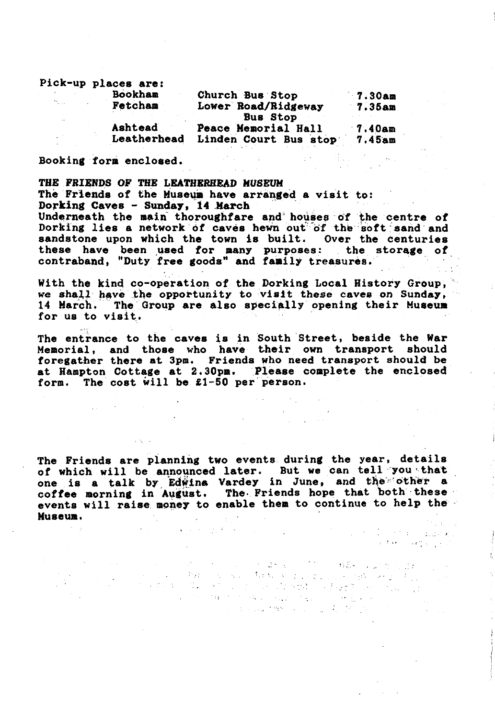|          | Pick-up places are:<br>Bookham | Church Bus Stop       | 7.30am    |
|----------|--------------------------------|-----------------------|-----------|
| Province | Fetcham                        | Lower Road/Ridgeway   | 7.35am    |
|          |                                | Bus Stop              |           |
|          | Ashtead                        | Peace Memorial Hall   | $7.40$ am |
|          | Leatherhead                    | Linden Court Bus stop | 7.45am    |

**Booking form enclosed.**

**Carl Committee** 

**THE FRIENDS OF THE LEATHERHEAD MUSEUM The Friends of the Museum have arranged a visit to: Dorking Caves - Sunday, 14 March Underneath the main thoroughfare and houses of the centre of Dorking lies a network of caves hewn out of the soft sand and sandstone upon which the town is built. Over the centuries these have been used for many purposes: the storage of contraband, "Duty free goods" and family treasures.**

 $\label{eq:2.1} \frac{d^2\mathbf{u}}{d\mathbf{u}} = \frac{1}{2}\left(\frac{\mathbf{u}}{\mathbf{u}} + \frac{\mathbf{u}}{\mathbf{u}}\right) + \frac{1}{2}\left(\frac{\mathbf{u}}{\mathbf{u}} + \frac{\mathbf{u}}{\mathbf{u}}\right) + \frac{1}{2}\left(\frac{\mathbf{u}}{\mathbf{u}} + \frac{\mathbf{u}}{\mathbf{u}}\right) + \frac{1}{2}\left(\frac{\mathbf{u}}{\mathbf{u}} + \frac{\mathbf{u}}{\mathbf{u}}\right) + \frac{1}{2}\left(\frac{\mathbf{u}}{\mathbf{u}} + \frac{\$ 

 $\mathcal{O}(\mathcal{O}_{\mathcal{A}})$  , where  $\mathcal{O}_{\mathcal{A}}$ 

in kultura kacamatan Ing  $\mathcal{A}^{\mathcal{A}}$  or  $\mathcal{A}^{\mathcal{A}}$  and  $\mathcal{A}^{\mathcal{A}}$ 

**With the kind[ co-operation of the Dorking Local History Group, we shall have the opportunity to visit these caves on Sunday, 14 March. The Group are also specially opening their Museum for us to visit.**

**The entrance to the caves is in South Street, beside the War Memorial, and those who have their own transport should foregather there at 3pm. Friends who need transport should be at Hampton Cottage at 2.30pm. Please complete the enclosed form. The cost will be £1-50 per person.**

**The Friends are planning two events during the year, details of which will be announced later. But we can tell you that one is a talk by EdWina Vardey in June, and the other a coffee morning in August. The- Friends hope that both these events will raise money to enable them to continue to help the Museum.** $\mathcal{L}_{\text{max}}$ 

 $\label{eq:2.1} \mathcal{L}=\left\{ \begin{array}{ll} \mathcal{L}_{\mathcal{M}}(\mathcal{A}) & \mathcal{L}_{\mathcal{M}}(\mathcal{A}) & \mathcal{L}_{\mathcal{M}}(\mathcal{A}) \end{array} \right.$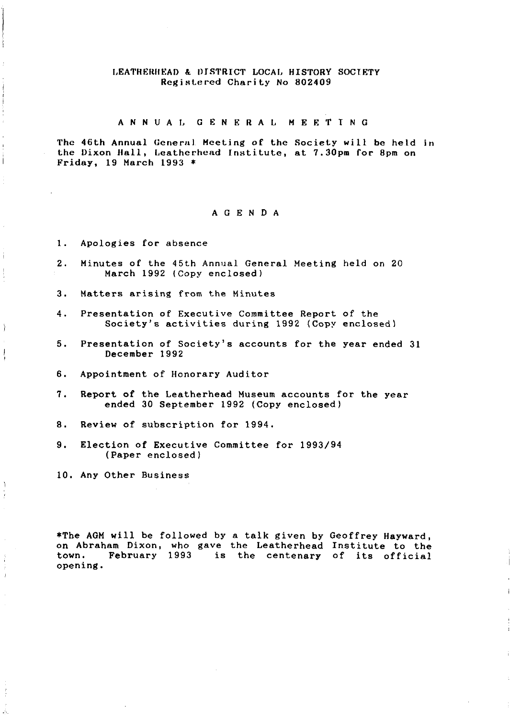#### LEATHERHEAD 4 DISTRICT LOCAL HISTORY SOCTETY Registered Charity No 802409

#### ANNUAL GENERAL MEETING

The 46th Annual General Meeting of the Society will be held in the Dixon Hall, Leatherhead Institute, at 7.30pm for 8pm on Friday, 19 March 1993  $*$ 

### AGENDA

1. Apologies for absence

 $\overline{\phantom{a}}$ 

j

 $\bar{\chi}$ 

ż

- 2. Minutes of the 45th Annual General Meeting held on 20 March 1992 (Copy enclosed)
- 3. Matters arising from the Minutes
- 4. Presentation of Executive Committee Report of the Society's activities during 1992 (Copy enclosed)
- 5. Presentation of Society's accounts for the year ended 31 December 1992
- 6. Appointment of Honorary Auditor
- 7. Report of the Leatherhead Museum accounts for the year ended 30 September 1992 (Copy enclosed)
- 8. Review of subscription for 1994.
- 9. Election of Executive Committee for 1993/94 (Paper enclosed)

10. Any Other Business

\*The AGM will be followed by a talk given by Geoffrey Hayward, on Abraham Dixon, who gave the Leatherhead Institute to the February 1993 is the centenary of its official opening.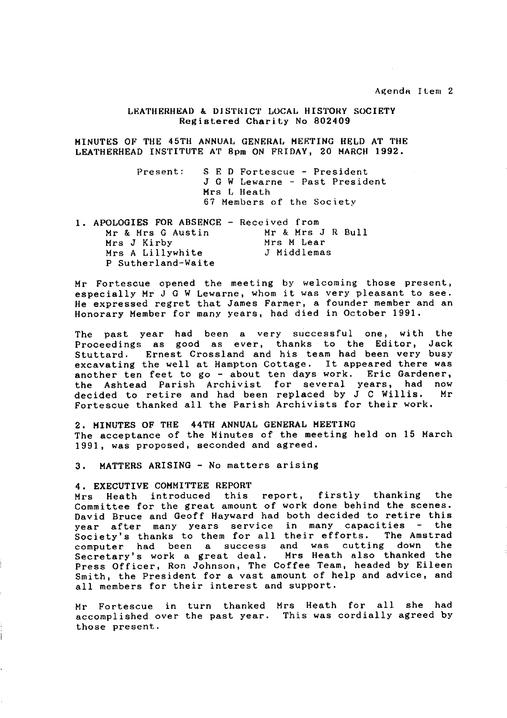Agenda Item 2

LEATHERHEAD & DISTRICT LOCAL HISTORY SOCIETY Registered Charity No 802409

MINUTES OF THE 45TH ANNUAL GENERAL MEETING HELD AT THE LEATHERHEAD INSTITUTE AT 8pm ON FRIDAY, 20 MARCH 1992.

> Present: S E D Fortescue - President J G W Lewarne - Past President Mrs L Heath 67 Members of the Society

1. APOLOGIES FOR ABSENCE - Received from Mr & Mrs J R Bull Mrs M Lear J Middlemas Mr & Mrs G Austin Mrs J Kirby Mrs A Lillywhite P Sutherland-Waite

Mr Fortescue opened the meeting by welcoming those present, especially Mr J G W Lewarne, whom it was very pleasant to see. He expressed regret that James Farmer, a founder member and an Honorary Member for many years, had died in October 1991.

The past year had been a very successful one, with the Proceedings as good as ever, thanks to the Editor, Jack Stuttard. Ernest Crossland and his team had been very busy excavating the well at Hampton Cottage. It appeared there was another ten feet to go - about ten days work. Eric Gardener, the Ashtead Parish Archivist for several years, had now<br>decided to retire and had been replaced by J.C. Willis. Mr. decided to retire and had been replaced by J C Willis. Fortescue thanked all the Parish Archivists for their work.

2. MINUTES OF THE 44TH ANNUAL GENERAL MEETING The acceptance of the Minutes of the meeting held on 15 March 1991, was proposed, seconded and agreed.

3. MATTERS ARISING - No matters arising

#### 4. EXECUTIVE COMMITTEE REPORT

Mrs Heath introduced this report, firstly thanking the Committee for the great amount of work done behind the scenes. David Bruce and Geoff Hayward had both decided to retire this year after many years service in many capacities - the Society's thanks to them for all their efforts. The Amstrad computer had been a success and was cutting down the Secretary's work a great deal. Mrs Heath also thanked the Press Officer, Ron Johnson, The Coffee Team, headed by Eileen Smith, the President for a vast amount of help and advice, and all members for their interest and support.

Mr Fortescue in turn thanked Mrs Heath for all she had accomplished over the past year. This was cordially agreed by those present.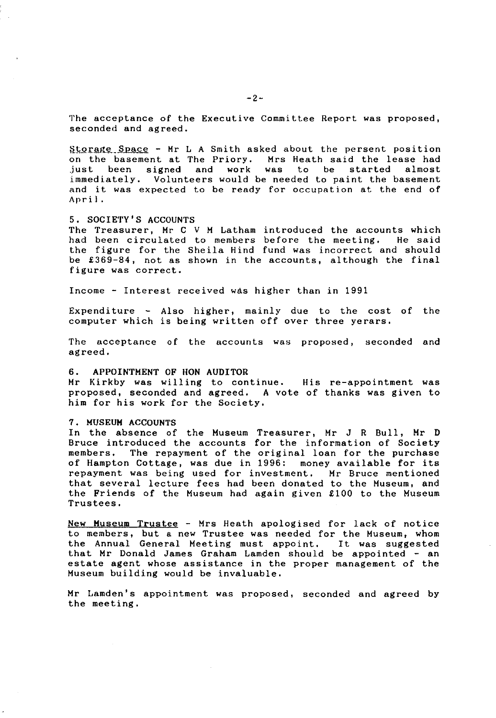The acceptance of the Executive Committee Report was proposed, seconded and agreed.

Storage Space - Mr L A Smith asked about the persent position on the basement at The Priory. Mrs Heath said the lease had<br>just been signed and work was to be started almost just been signed and work was to be started almost immediately. Volunteers would be needed to paint the basement and it was expected to be ready for occupation at the end of April.

#### 5. SOCIETY'S ACCOUNTS

The Treasurer, Mr C V M Latham introduced the accounts which had been circulated to members before the meeting. He said the figure for the Sheila Hind fund was incorrect and should be £369-84, not as shown in the accounts, although the final figure was correct.

Income - Interest received wds higher than in 1991

Expenditure - Also higher, mainly due to the cost of the computer which is being written off over three yerars.

The acceptance of the accounts was proposed, seconded and agreed.

#### 6. APPOINTMENT OF HON AUDITOR

Mr Kirkby was willing to continue. His re-appointment was proposed, seconded and agreed. A vote of thanks was given to him for his work for the Society.

#### 7. MUSEUM ACCOUNTS

In the absence of the Museum Treasurer, Mr J R Bull, Mr D Bruce introduced the accounts for the information of Society<br>members. The repayment of the original loan for the purchase The repayment of the original loan for the purchase of Hampton Cottage, was due in 1996: money available for its repayment was being used for investment. Mr Bruce mentioned that several lecture fees had been donated to the Museum, and the Friends of the Museum had again given £100 to the Museum Trustees.

New Museum Trustee - Mrs Heath apologised for lack of notice to members, but a new Trustee was needed for the Museum, whom the Annual General Meeting must appoint. It was suggested that Mr Donald James Graham Lamden should be appointed - an estate agent whose assistance in the proper management of the Museum building would be invaluable.

Mr Lamden's appointment was proposed, seconded and agreed by the meeting.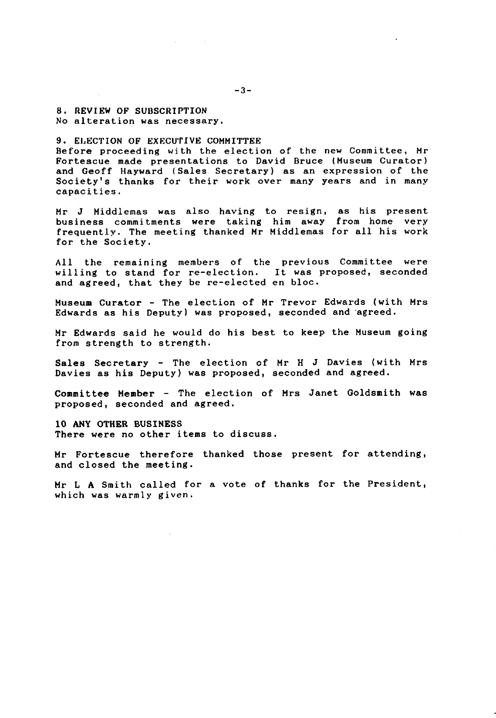8. REVIEW OF SUBSCRIPTION No alteration was necessary.

#### 9. ELECTION OF EXECUTIVE COMMITTEE

Before proceeding with the election of the new Committee, Mr Fortescue made presentations to David Bruce (Museum Curator) and Geoff Hayward (Sales Secretary) as an expression of the Society's thanks for their work over many years and in many capacities.

Mr J Middlemas was also having to resign, as his present business commitments were taking him away from home very frequently. The meeting thanked Mr Middlemas for all his work for the Society.

All the remaining members of the previous Committee were willing to stand for re-election. It was proposed, seconded and agreed, that they be re-elected en bloc.

Museum Curator - The election of Mr Trevor Edwards (with Mrs Edwards as his Deputy) was proposed, seconded and agreed.

Mr Edwards said he would do his best to keep the Museum going from strength to strength.

Sales Secretary - The election of Mr H J Davies (with Mrs Davies as his Deputy) was proposed, seconded and agreed.

Committee Member - The election of Mrs Janet Goldsmith was proposed, seconded and agreed.

10 ANY OTHER BUSINESS There were no other items to discuss.

Mr Fortescue therefore thanked those present for attending, and closed the meeting.

Mr L A Smith called for a vote of thanks for the President, which was warmly given.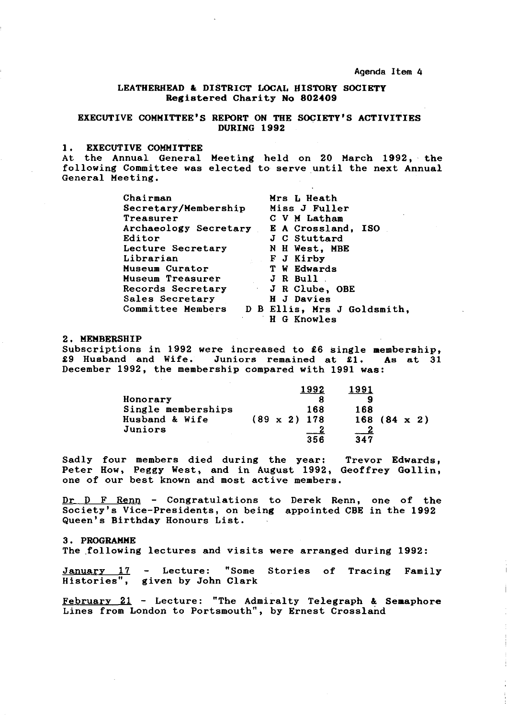Agenda Item 4

LEATHERHEAD & DISTRICT LOCAL HISTORY SOCIETY Registered Charity No 802409

#### EXECUTIVE COMMITTEE'S REPORT ON THE SOCIETY'S ACTIVITIES DURING 1992

### 1. EXECUTIVE COMMITTEE

At the Annual General Meeting held on 20 March 1992, the following Committee was elected to serve until the next Annual General Meeting.

| Chairman              | Mrs L Heath                 |
|-----------------------|-----------------------------|
| Secretary/Membership  | <b>Miss J Fuller</b>        |
| Treasurer             | C V M Latham                |
| Archaeology Secretary | E A Crossland, ISO          |
| Editor                | J C Stuttard                |
| Lecture Secretary     | N H West. MBE               |
| Librarian             | F J Kirby                   |
| Museum Curator        | T W Edwards                 |
| Museum Treasurer      | J R Bull                    |
| Records Secretary     | J R Clube, OBE              |
| Sales Secretary       | H J Davies                  |
| Committee Members     | D B Ellis, Mrs J Goldsmith, |
|                       | <b>G Knowles</b>            |

#### 2. MEMBERSHIP

Subscriptions in 1992 were increased to £6 single membership, £9 Husband and Wife. Juniors remained at £1. As at 31 December 1992, the membership compared with 1991 was:

|                    | 1992                | 1991                  |
|--------------------|---------------------|-----------------------|
| Honorary           |                     |                       |
| Single memberships | 168                 | 168                   |
| Husband & Wife     | $(89 \times 2)$ 178 | $168$ $(84 \times 2)$ |
| Juniors            |                     |                       |
|                    | 356                 | 347                   |

Sadly four members died during the year: Trevor Edwards, Peter How, Peggy West, and in August 1992, Geoffrey Gollin, one of our best known and most active members.

Dr D F Renn - Congratulations to Derek Renn, one of the Society's Vice-Presidents, on being appointed CBE in the 1992 Queen's Birthday Honours List.

#### 3. PROGRAMME

The following lectures and visits were arranged during 1992:

January 17 - Lecture: "Some Stories of Tracing Family Histories", given by John Clark

February 21 - Lecture: "The Admiralty Telegraph & Semaphore Lines from London to Portsmouth", by Ernest Crossland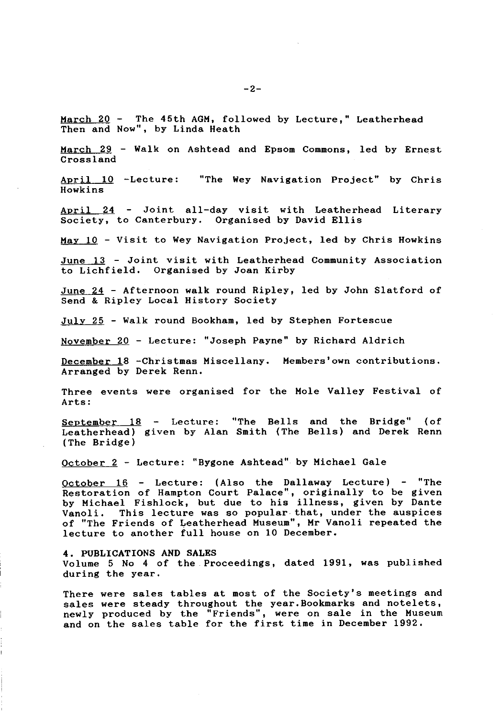March 20 - The 45th AGM, followed by Lecture," Leatherhead Then and Now", by Linda Heath

March 29 - Walk on Ashtead and Epsom Commons, led by Ernest Crossland

April 10 -Lecture: "The Wey Navigation Project" by Chris Howkins

April 24 - Joint all-day visit with Leatherhead Literary Society, to Canterbury. Organised by David Ellis

May 10 - Visit to Wey Navigation Project, led by Chris Howkins

June 13 - Joint visit with Leatherhead Community Association to Lichfield. Organised by Joan Kirby

June 24 - Afternoon walk round Ripley, led by John Slatford of Send & Ripley Local History Society

July 25 - Walk round Bookham, led by Stephen Fortescue

November 20 - Lecture: "Joseph Payne" by Richard Aldrich

December 18 -Christmas Miscellany. Members'own contributions. Arranged by Derek Renn.

Three events were organised for the Mole Valley Festival of Arts:

September 18 - Lecture: "The Bells and the Bridge" (of Leatherhead) given by Alan Smith (The Bells) and Derek Renn (The Bridge)

October 2 - Lecture: "Bygone Ashtead" by Michael Gale

October 16 - Lecture: (Also the Dallaway Lecture) - "The Restoration of Hampton Court Palace", originally to be given by Michael Fishlock, but due to his illness, given by Dante Vanoli. This lecture was so popular that, under the auspices of "The Friends of Leatherhead Museum", Mr Vanoli repeated the lecture to another full house on 10 December.

4. PUBLICATIONS AND SALES Volume 5 No 4 of the Proceedings, dated 1991, was published during the year.

There were sales tables at most of the Society's meetings and sales were steady throughout the year.Bookmarks and notelets, newly produced by the "Friends", were on sale in the Museum and on the sales table for the first time in December 1992.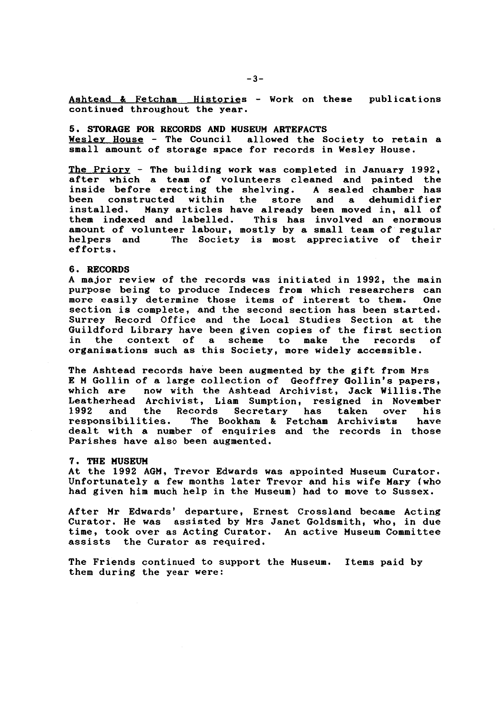Aahtead & Fetcham Histories - Work on these publications continued throughout the year.

5. STORAGE FOR RECORDS AND MUSEUM ARTEFACTS<br>Wesley House - The Council allowed the Society to retain a Wesley House - The Council allowed the Society to retain a small amount of storage space for records in Wesley House.

The Priory - The building work was completed in January 1992, after which a team of volunteers cleaned and painted the inside before erecting the shelving. A sealed chamber has inside before erecting the shelving. been constructed within the store and a dehumidifier<br>installed. Many articles have already been moved in all of Many articles have already been moved in, all of them indexed and labelled. This has involved an enormous amount of volunteer labour, mostly by a small team of regular<br>helpers and The Society is most appreciative of their The Society is most appreciative of their efforts.

#### 6. RECORDS

A major review of the records was initiated in 1992, the main purpose being to produce Indeces from which researchers can<br>more easily determine those items of interest to them. One more easily determine those items of interest to them. section is complete, and the second section has been started. Surrey Record Office and the Local Studies Section at the Guildford Library have been given copies of the first section<br>in the context of a scheme to make the records of in the context of a scheme to make the records of organisations such as this Society, more widely accessible.

The Ashtead records have been augmented by the gift from Mrs E M Gollin of a large collection of Geoffrey Gollin's papers, now with the Ashtead Archivist, Jack Willis.The Leatherhead Archivist, Liam Sumption, resigned in November the Records Secretary has taken over his responsibilities. The Bookham & Fetcham Archivists have dealt with a number of enquiries and the records in those Parishes have also been augmented.

#### 7. THE MUSEUM

At the 1992 AGM, Trevor Edwards was appointed Museum Curator. Unfortunately a few months later Trevor and his wife Mary (who had given him much help in the Museum) had to move to Sussex.

After Mr Edwards' departure, Ernest Crossland became Acting Curator. He was assisted by Mrs Janet Goldsmith, who, in due time, took over as Acting Curator. An active Museum Committee assists the Curator as required.

The Friends continued to support the Museum. Items paid by them during the year were: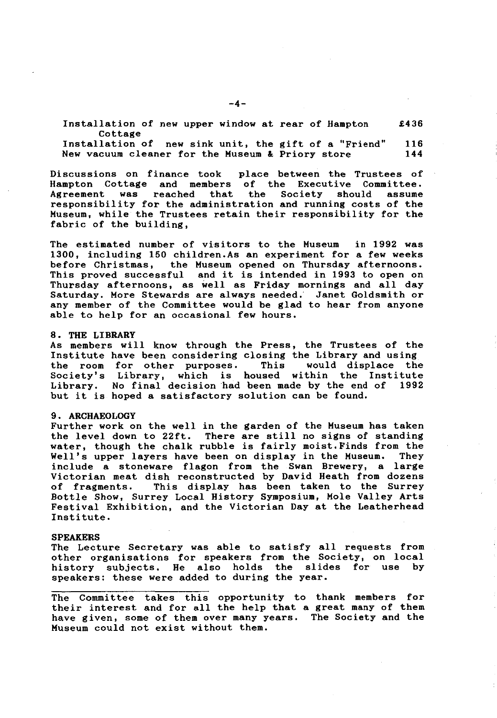Installation of new upper window at rear of Hampton £436

Cottage<br>Installation of new sink unit, the gift of a "Friend" 116<br> **Installation of the Museum & Priory store** 144 New vacuum cleaner for the Museum  $\&$  Priory store

Discussions on finance took place between the Trustees of<br>Hampton Cottage and members of the Executive Committee. Hampton Cottage and members of the Executive Committee. Agreement was reached that the Society should assume responsibility for the administration and running costs of the Museum, while the Trustees retain their responsibility for the fabric of the building.

The estimated number of visitors to the Museum in 1992 was 1300, including 150 children.As an experiment for a few weeks<br>before Christmas, the Museum opened on Thursday afternoons. the Museum opened on Thursday afternoons. This proved successful and it is intended in 1993 to open on Thursday afternoons, as well as Friday mornings and all day Saturday. More Stewards are always needed. Janet Goldsmith or any member of the Committee would be glad to hear from anyone able to help for an occasional few hours.

#### 8. THE LIBRARY

As members will know through the Press, the Trustees of the Institute have been considering closing the Library and using<br>the room for other purposes. This would displace the the room for other purposes. Society's Library, which is housed within the Institute Library. No final decision had been made by the end of 1992 but it is hoped a satisfactory solution can be found.

#### 9. ARCHAEOLOGY

Further work on the well in the garden of the Museum has taken the level down to 22ft. There are still no signs of standing water, though the chalk rubble is fairly moist.Finds from the Well's upper layers have been on display in the Museum. They include a stoneware flagon from the Swan Brewery, a large Victorian meat dish reconstructed by David Heath from dozens of fragments. This display has been taken to the Surrey Bottle Show, Surrey Local History Symposium, Mole Valley Arts Festival Exhibition, and the Victorian Day at the Leatherhead Institute.

#### **SPEAKERS**

The Lecture Secretary was able to satisfy all requests from other organisations for speakers from the Society, on local history subjects. He also holds the slides for use by speakers: these were added to during the year.

The Committee takes this opportunity to thank members for their interest and for all the help that a great many of them have given, some of them over many years. The Society and the Museum could not exist without them.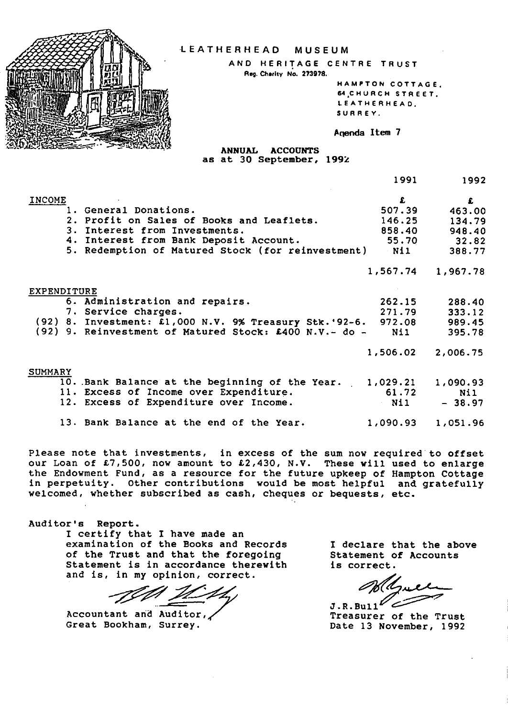

## LEATHERHEAD MUSEUM

AND HERITAGE CENTRE TRUST Reg. Charity No. 273978.

> HAMPTON COTTAGE. 64 CHURCH STREET. LEATHERHEAD. SURREY.

Aqenda Item 7

ANNUAL ACCOUNTS as at 30 September, 1992

|                                                          | 1991     | 1992     |
|----------------------------------------------------------|----------|----------|
| INCOME                                                   | £        | £        |
| 1. General Donations.                                    | 507.39   | 463.00   |
| 2. Profit on Sales of Books and Leaflets.                | 146.25   | 134.79   |
| 3. Interest from Investments.                            | 858.40   | 948.40   |
| 4. Interest from Bank Deposit Account.                   | 55.70    | 32.82    |
| 5. Redemption of Matured Stock (for reinvestment)        | Nil      | 388.77   |
|                                                          | 1,567.74 | 1,967.78 |
| EXPENDITURE                                              |          |          |
| 6. Administration and repairs.                           | 262.15   | 288.40   |
| 7. Service charges.                                      | 271.79   | 333.12   |
| $(92)$ 8. Investment: £1,000 N.V. 9% Treasury Stk.'92-6. | 972.08   | 989.45   |
| (92) 9. Reinvestment of Matured Stock: £400 N.V.- do -   | Nil      | 395.78   |
|                                                          | 1,506.02 | 2,006.75 |
| SUMMARY                                                  |          |          |
| 10. Bank Balance at the beginning of the Year.           | 1,029.21 | 1,090.93 |
| 11. Excess of Income over Expenditure.                   | 61.72    | Nil.     |
| 12. Excess of Expenditure over Income.                   | Nil      | $-38.97$ |
| 13. Bank Balance at the end of the Year.                 | 1,090.93 | 1,051.96 |

Please note that investments, in excess of the sum now required to offset our Loan of £7,500, now amount to £2,430, N.V. These will used to enlarge the Endowment Fund, as a resource for the future upkeep of Hampton Cottage in perpetuity. Other contributions would be most helpful and gratefully welcomed, whether subscribed as cash, cheques or bequests, etc.

Auditor's Report.

I certify that I have made an examination of the Books and Records of the Trust and that the foregoing Statement is in accordance therewith and is, in my opinion, correct.

Accountant and Auditor, Great Bookham, Surrey.

I declare that the above Statement of Accounts is correct.

 $J.R.Bu11^{\mathcal{L}}$ 

Treasurer of the Trust Date 13 November, 1992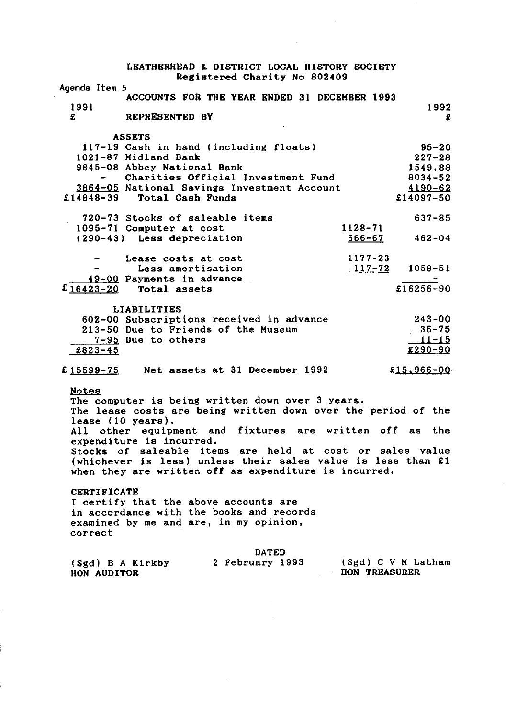|                               | LEATHERHEAD & DISTRICT LOCAL HISTORY SOCIETY                                                                                                                                                                                                                                                                                                                                                                                 | Registered Charity No 802409                 |               |                    |
|-------------------------------|------------------------------------------------------------------------------------------------------------------------------------------------------------------------------------------------------------------------------------------------------------------------------------------------------------------------------------------------------------------------------------------------------------------------------|----------------------------------------------|---------------|--------------------|
| Agenda Item 5                 |                                                                                                                                                                                                                                                                                                                                                                                                                              |                                              |               |                    |
|                               |                                                                                                                                                                                                                                                                                                                                                                                                                              | ACCOUNTS FOR THE YEAR ENDED 31 DECEMBER 1993 |               |                    |
| 1991                          |                                                                                                                                                                                                                                                                                                                                                                                                                              |                                              |               | 1992               |
| £                             | <b>REPRESENTED BY</b>                                                                                                                                                                                                                                                                                                                                                                                                        |                                              |               | £                  |
|                               | <b>ASSETS</b>                                                                                                                                                                                                                                                                                                                                                                                                                |                                              |               |                    |
|                               | 117-19 Cash in hand (including floats)                                                                                                                                                                                                                                                                                                                                                                                       |                                              |               | $95 - 20$          |
|                               | 1021-87 Midland Bank                                                                                                                                                                                                                                                                                                                                                                                                         |                                              |               | $227 - 28$         |
|                               | 9845-08 Abbey National Bank                                                                                                                                                                                                                                                                                                                                                                                                  |                                              |               | 1549.88            |
|                               |                                                                                                                                                                                                                                                                                                                                                                                                                              | Charities Official Investment Fund           |               | $8034 - 52$        |
|                               | 3864-05 National Savings Investment Account                                                                                                                                                                                                                                                                                                                                                                                  |                                              |               | $4190 - 62$        |
|                               | £14848-39 Total Cash Funds                                                                                                                                                                                                                                                                                                                                                                                                   |                                              |               | £14097-50          |
|                               | 720-73 Stocks of saleable items                                                                                                                                                                                                                                                                                                                                                                                              |                                              |               | $637 - 85$         |
|                               | 1095-71 Computer at cost                                                                                                                                                                                                                                                                                                                                                                                                     |                                              | $1128 - 71$   |                    |
|                               | (290-43) Less depreciation                                                                                                                                                                                                                                                                                                                                                                                                   |                                              | $666 - 67$    | $462 - 04$         |
|                               |                                                                                                                                                                                                                                                                                                                                                                                                                              |                                              |               |                    |
|                               | Lease costs at cost                                                                                                                                                                                                                                                                                                                                                                                                          |                                              | $1177 - 23$   |                    |
|                               | Less amortisation                                                                                                                                                                                                                                                                                                                                                                                                            |                                              |               | $117-72$ 1059-51   |
|                               | 49-00 Payments in advance                                                                                                                                                                                                                                                                                                                                                                                                    |                                              |               |                    |
|                               | $£16423-20$ Total assets                                                                                                                                                                                                                                                                                                                                                                                                     |                                              |               | £16256-90          |
|                               | <b>LIABILITIES</b>                                                                                                                                                                                                                                                                                                                                                                                                           |                                              |               |                    |
|                               | 602-00 Subscriptions received in advance                                                                                                                                                                                                                                                                                                                                                                                     |                                              |               | $243 - 00$         |
|                               | 213-50 Due to Friends of the Museum                                                                                                                                                                                                                                                                                                                                                                                          |                                              |               | $36 - 75$          |
|                               | 7-95 Due to others                                                                                                                                                                                                                                                                                                                                                                                                           |                                              |               | $11 - 15$          |
| $£823 - 45$                   |                                                                                                                                                                                                                                                                                                                                                                                                                              |                                              |               | £290-90            |
|                               | $£15599-75$ Net assets at 31 December 1992                                                                                                                                                                                                                                                                                                                                                                                   |                                              |               | $£15,966-00$       |
| Notes                         | The computer is being written down over 3 years.<br>The lease costs are being written down over the period of the<br>lease $(10 \text{ years}).$<br>All other equipment and fixtures are written off as the<br>expenditure is incurred.<br>Stocks of saleable items are held at cost or sales value<br>(whichever is less) unless their sales value is less than £1<br>when they are written off as expenditure is incurred. |                                              |               |                    |
| <b>CERTIFICATE</b><br>correct | I certify that the above accounts are<br>in accordance with the books and records<br>examined by me and are, in my opinion,                                                                                                                                                                                                                                                                                                  |                                              |               |                    |
| HON AUDITOR                   | (Sgd) B A Kirkby 2 February 1993                                                                                                                                                                                                                                                                                                                                                                                             | <b>DATED</b>                                 | HON TREASURER | (Sgd) C V M Latham |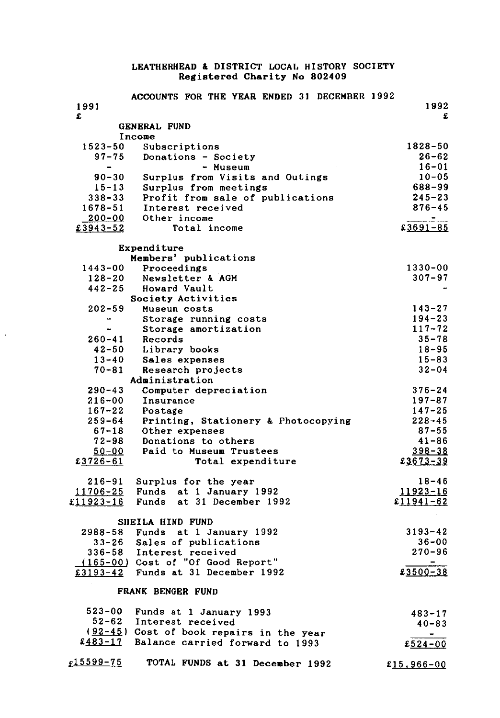### LEATHERHEAD & DISTRICT LOCAL HISTORY SOCIETY Registered Charity No 802409

|                              | ACCOUNTS FOR THE YEAR ENDED 31 DECEMBER 1992 |                    |
|------------------------------|----------------------------------------------|--------------------|
| 1991                         |                                              | 1992               |
| £                            |                                              | £                  |
|                              | <b>GENERAL FUND</b>                          |                    |
|                              | Income                                       |                    |
| 1523-50                      | Subscriptions                                | 1828-50            |
| $97 - 75$                    | Donations - Society                          | $26 - 62$          |
| $\qquad \qquad \blacksquare$ | - Museum                                     | $16 - 01$          |
| $90 - 30$                    | Surplus from Visits and Outings              | $10 - 05$          |
| $15 - 13$                    | Surplus from meetings                        | 688-99             |
| $338 - 33$                   | Profit from sale of publications             | $245 - 23$         |
| 1678-51                      | Interest received                            | $876 - 45$         |
| $200 - 00$                   | Other income                                 | . . <del>. .</del> |
| $£3943 - 52$                 | Total income                                 | $23691 - 85$       |
|                              |                                              |                    |
|                              | Expenditure                                  |                    |
|                              | Members' publications                        |                    |
| $1443 - 00$                  | Proceedings                                  | 1330-00            |
| 128-20                       | Newsletter & AGM                             | $307 - 97$         |
| 442-25                       | Howard Vault                                 |                    |
|                              | Society Activities                           |                    |
| 202-59                       | Museum costs                                 | $143 - 27$         |
| -                            | Storage running costs                        | $194 - 23$         |
|                              | Storage amortization                         | $117 - 72$         |
| $260 - 41$                   |                                              | $35 - 78$          |
|                              | Records                                      |                    |
| $42 - 50$                    | Library books                                | $18 - 95$          |
| $13 - 40$                    | Sales expenses                               | $15 - 83$          |
| $70 - 81$                    | Research projects                            | $32 - 04$          |
|                              | Administration                               |                    |
| $290 - 43$                   | Computer depreciation                        | $376 - 24$         |
| $216 - 00$                   | Insurance                                    | 197-87             |
| $167 - 22$                   | Postage                                      | $147 - 25$         |
| $259 - 64$                   | Printing, Stationery & Photocopying          | $228 - 45$         |
| 67-18                        | Other expenses                               | $87 - 55$          |
| $72 - 98$                    | Donations to others                          | $41 - 86$          |
| <u>50-00</u>                 | Paid to Museum Trustees                      | $398 - 38$         |
| £3726-61                     | Total expenditure                            | £3673-39           |
|                              |                                              |                    |
| $216 - 91$                   | Surplus for the year                         | $18 - 46$          |
| 11706-25                     | Funds at 1 January 1992                      | 11923-16           |
|                              | $£11923-16$ Funds at 31 December 1992        | £11941-62          |
|                              |                                              |                    |
|                              | SHEILA HIND FUND                             |                    |
|                              | 2988-58 Funds at 1 January 1992              | $3193 - 42$        |
| $33 - 26$                    | Sales of publications                        | $36 - 00$          |
|                              | 336-58 Interest received                     | 270-96             |
|                              | (165-00) Cost of "Of Good Report"            |                    |
| £3193-42                     | Funds at 31 December 1992                    | £3500-38           |
|                              |                                              |                    |
|                              | FRANK BENGER FUND                            |                    |
| $523 - 00$                   | Funds at 1 January 1993                      |                    |
| $52 - 62$                    | Interest received                            | $483 - 17$         |
|                              | (92-45) Cost of book repairs in the year     | $40 - 83$          |
|                              | £483-17 Balance carried forward to 1993      | $\overline{a}$     |
|                              |                                              | $£524 - 00$        |
| $f15599 - 75$                | TOTAL FUNDS at 31 December 1992              | $£15,966-00$       |